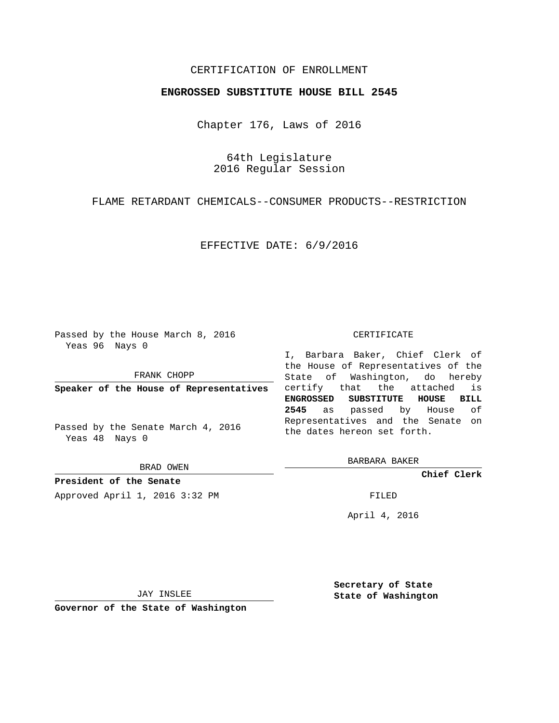## CERTIFICATION OF ENROLLMENT

### **ENGROSSED SUBSTITUTE HOUSE BILL 2545**

Chapter 176, Laws of 2016

64th Legislature 2016 Regular Session

FLAME RETARDANT CHEMICALS--CONSUMER PRODUCTS--RESTRICTION

EFFECTIVE DATE: 6/9/2016

Passed by the House March 8, 2016 Yeas 96 Nays 0

FRANK CHOPP

**Speaker of the House of Representatives**

Passed by the Senate March 4, 2016 Yeas 48 Nays 0

BRAD OWEN

**President of the Senate**

Approved April 1, 2016 3:32 PM FILED

#### CERTIFICATE

I, Barbara Baker, Chief Clerk of the House of Representatives of the State of Washington, do hereby certify that the attached is **ENGROSSED SUBSTITUTE HOUSE BILL 2545** as passed by House of Representatives and the Senate on the dates hereon set forth.

BARBARA BAKER

**Chief Clerk**

April 4, 2016

JAY INSLEE

**Governor of the State of Washington**

**Secretary of State State of Washington**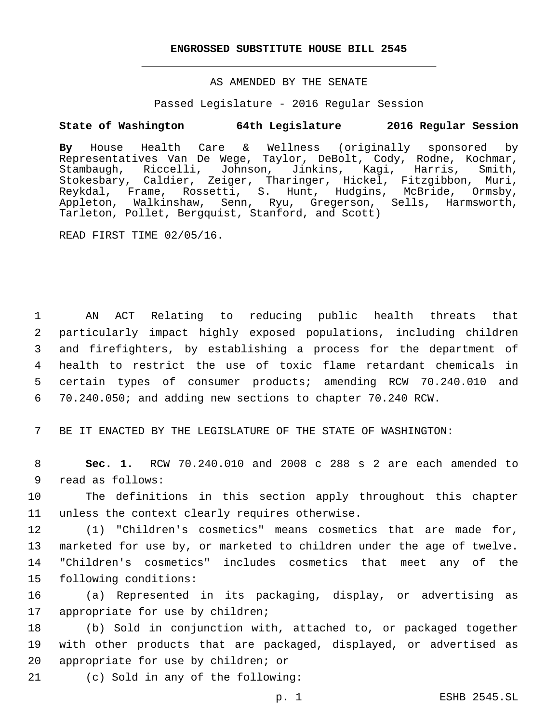#### **ENGROSSED SUBSTITUTE HOUSE BILL 2545**

## AS AMENDED BY THE SENATE

Passed Legislature - 2016 Regular Session

# **State of Washington 64th Legislature 2016 Regular Session**

**By** House Health Care & Wellness (originally sponsored by Representatives Van De Wege, Taylor, DeBolt, Cody, Rodne, Kochmar, Stambaugh, Riccelli, Johnson, Jinkins, Kagi, Harris, Smith, Stokesbary, Caldier, Zeiger, Tharinger, Hickel, Fitzgibbon, Muri, Reykdal, Frame, Rossetti, S. Hunt, Hudgins, McBride, Ormsby, Appleton, Walkinshaw, Senn, Ryu, Gregerson, Sells, Harmsworth, Tarleton, Pollet, Bergquist, Stanford, and Scott)

READ FIRST TIME 02/05/16.

 AN ACT Relating to reducing public health threats that particularly impact highly exposed populations, including children and firefighters, by establishing a process for the department of health to restrict the use of toxic flame retardant chemicals in certain types of consumer products; amending RCW 70.240.010 and 70.240.050; and adding new sections to chapter 70.240 RCW.

7 BE IT ENACTED BY THE LEGISLATURE OF THE STATE OF WASHINGTON:

8 **Sec. 1.** RCW 70.240.010 and 2008 c 288 s 2 are each amended to 9 read as follows:

10 The definitions in this section apply throughout this chapter 11 unless the context clearly requires otherwise.

 (1) "Children's cosmetics" means cosmetics that are made for, marketed for use by, or marketed to children under the age of twelve. "Children's cosmetics" includes cosmetics that meet any of the 15 following conditions:

16 (a) Represented in its packaging, display, or advertising as 17 appropriate for use by children;

18 (b) Sold in conjunction with, attached to, or packaged together 19 with other products that are packaged, displayed, or advertised as 20 appropriate for use by children; or

21 (c) Sold in any of the following: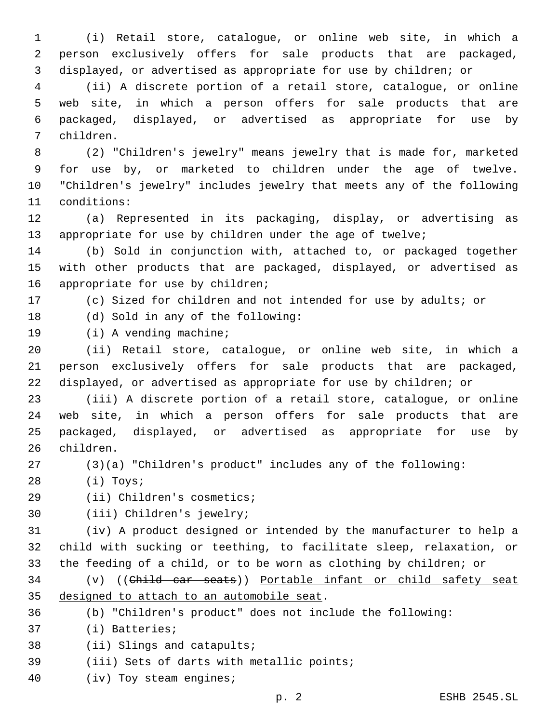(i) Retail store, catalogue, or online web site, in which a person exclusively offers for sale products that are packaged, displayed, or advertised as appropriate for use by children; or

 (ii) A discrete portion of a retail store, catalogue, or online web site, in which a person offers for sale products that are packaged, displayed, or advertised as appropriate for use by children.7

 (2) "Children's jewelry" means jewelry that is made for, marketed for use by, or marketed to children under the age of twelve. "Children's jewelry" includes jewelry that meets any of the following 11 conditions:

 (a) Represented in its packaging, display, or advertising as appropriate for use by children under the age of twelve;

 (b) Sold in conjunction with, attached to, or packaged together with other products that are packaged, displayed, or advertised as 16 appropriate for use by children;

(c) Sized for children and not intended for use by adults; or

18 (d) Sold in any of the following:

19 (i) A vending machine;

 (ii) Retail store, catalogue, or online web site, in which a person exclusively offers for sale products that are packaged, displayed, or advertised as appropriate for use by children; or

 (iii) A discrete portion of a retail store, catalogue, or online web site, in which a person offers for sale products that are packaged, displayed, or advertised as appropriate for use by 26 children.

(3)(a) "Children's product" includes any of the following:

(i) Toys;28

- 29 (ii) Children's cosmetics;
- 30 (iii) Children's jewelry;

 (iv) A product designed or intended by the manufacturer to help a child with sucking or teething, to facilitate sleep, relaxation, or the feeding of a child, or to be worn as clothing by children; or

34 (v) ((Child car seats)) Portable infant or child safety seat 35 designed to attach to an automobile seat.

(b) "Children's product" does not include the following:

37 (i) Batteries;

38 (ii) Slings and catapults;

- 39 (iii) Sets of darts with metallic points;
- 40 (iv) Toy steam engines;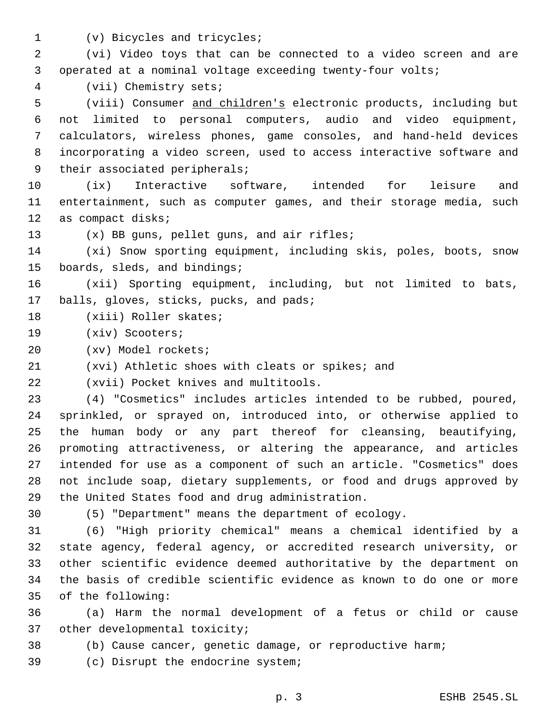- 
- 1 (v) Bicycles and tricycles;

2 (vi) Video toys that can be connected to a video screen and are 3 operated at a nominal voltage exceeding twenty-four volts;

(vii) Chemistry sets;4

 (viii) Consumer and children's electronic products, including but not limited to personal computers, audio and video equipment, calculators, wireless phones, game consoles, and hand-held devices incorporating a video screen, used to access interactive software and 9 their associated peripherals;

10 (ix) Interactive software, intended for leisure and 11 entertainment, such as computer games, and their storage media, such 12 as compact disks;

13 (x) BB guns, pellet guns, and air rifles;

14 (xi) Snow sporting equipment, including skis, poles, boots, snow 15 boards, sleds, and bindings;

16 (xii) Sporting equipment, including, but not limited to bats, 17 balls, gloves, sticks, pucks, and pads;

- 18 (xiii) Roller skates;
- 19 (xiv) Scooters;
- (xv) Model rockets;20
- 21 (xvi) Athletic shoes with cleats or spikes; and

(xvii) Pocket knives and multitools.22

 (4) "Cosmetics" includes articles intended to be rubbed, poured, sprinkled, or sprayed on, introduced into, or otherwise applied to the human body or any part thereof for cleansing, beautifying, promoting attractiveness, or altering the appearance, and articles intended for use as a component of such an article. "Cosmetics" does not include soap, dietary supplements, or food and drugs approved by 29 the United States food and drug administration.

30 (5) "Department" means the department of ecology.

 (6) "High priority chemical" means a chemical identified by a state agency, federal agency, or accredited research university, or other scientific evidence deemed authoritative by the department on the basis of credible scientific evidence as known to do one or more of the following:35

36 (a) Harm the normal development of a fetus or child or cause 37 other developmental toxicity;

- 38 (b) Cause cancer, genetic damage, or reproductive harm;
- 39 (c) Disrupt the endocrine system;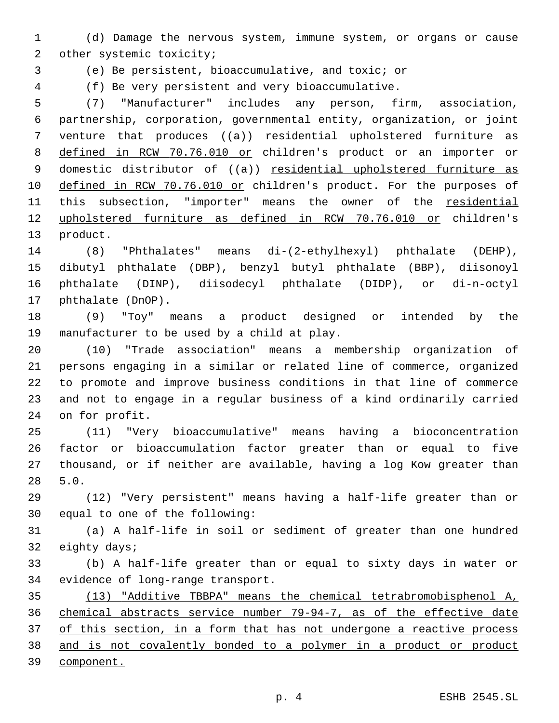(d) Damage the nervous system, immune system, or organs or cause 2 other systemic toxicity;

(e) Be persistent, bioaccumulative, and toxic; or

(f) Be very persistent and very bioaccumulative.

 (7) "Manufacturer" includes any person, firm, association, partnership, corporation, governmental entity, organization, or joint venture that produces ((a)) residential upholstered furniture as defined in RCW 70.76.010 or children's product or an importer or 9 domestic distributor of ((a)) residential upholstered furniture as 10 defined in RCW 70.76.010 or children's product. For the purposes of 11 this subsection, "importer" means the owner of the residential upholstered furniture as defined in RCW 70.76.010 or children's 13 product.

 (8) "Phthalates" means di-(2-ethylhexyl) phthalate (DEHP), dibutyl phthalate (DBP), benzyl butyl phthalate (BBP), diisonoyl phthalate (DINP), diisodecyl phthalate (DIDP), or di-n-octyl 17 phthalate (DnOP).

 (9) "Toy" means a product designed or intended by the 19 manufacturer to be used by a child at play.

 (10) "Trade association" means a membership organization of persons engaging in a similar or related line of commerce, organized to promote and improve business conditions in that line of commerce and not to engage in a regular business of a kind ordinarily carried 24 on for profit.

 (11) "Very bioaccumulative" means having a bioconcentration factor or bioaccumulation factor greater than or equal to five thousand, or if neither are available, having a log Kow greater than 5.0.28

 (12) "Very persistent" means having a half-life greater than or 30 equal to one of the following:

 (a) A half-life in soil or sediment of greater than one hundred 32 eighty days;

 (b) A half-life greater than or equal to sixty days in water or 34 evidence of long-range transport.

 (13) "Additive TBBPA" means the chemical tetrabromobisphenol A, chemical abstracts service number 79-94-7, as of the effective date of this section, in a form that has not undergone a reactive process and is not covalently bonded to a polymer in a product or product component.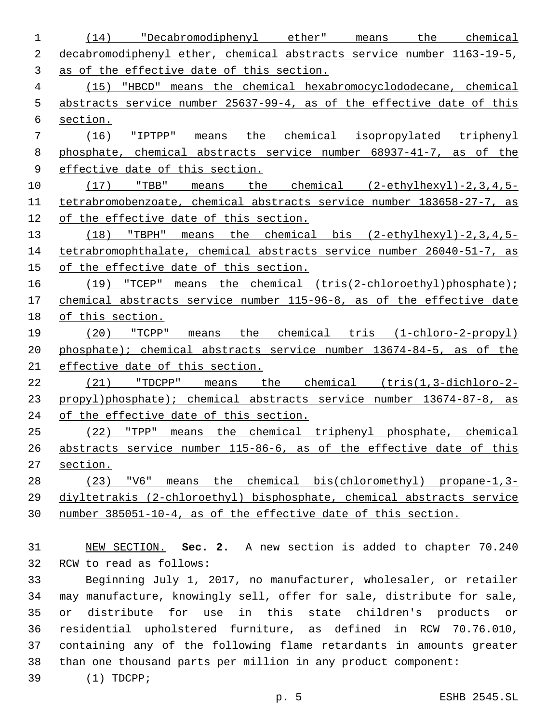(14) "Decabromodiphenyl ether" means the chemical decabromodiphenyl ether, chemical abstracts service number 1163-19-5, as of the effective date of this section. (15) "HBCD" means the chemical hexabromocyclododecane, chemical abstracts service number 25637-99-4, as of the effective date of this section. (16) "IPTPP" means the chemical isopropylated triphenyl 8 phosphate, chemical abstracts service number 68937-41-7, as of the 9 effective date of this section. (17) "TBB" means the chemical (2-ethylhexyl)-2,3,4,5- tetrabromobenzoate, chemical abstracts service number 183658-27-7, as of the effective date of this section. (18) "TBPH" means the chemical bis (2-ethylhexyl)-2,3,4,5- tetrabromophthalate, chemical abstracts service number 26040-51-7, as 15 of the effective date of this section. 16 (19) "TCEP" means the chemical (tris(2-chloroethyl)phosphate); chemical abstracts service number 115-96-8, as of the effective date 18 of this section. (20) "TCPP" means the chemical tris (1-chloro-2-propyl) phosphate); chemical abstracts service number 13674-84-5, as of the effective date of this section. (21) "TDCPP" means the chemical (tris(1,3-dichloro-2- propyl)phosphate); chemical abstracts service number 13674-87-8, as 24 of the effective date of this section. (22) "TPP" means the chemical triphenyl phosphate, chemical abstracts service number 115-86-6, as of the effective date of this section. (23) "V6" means the chemical bis(chloromethyl) propane-1,3- diyltetrakis (2-chloroethyl) bisphosphate, chemical abstracts service number 385051-10-4, as of the effective date of this section. NEW SECTION. **Sec. 2.** A new section is added to chapter 70.240 32 RCW to read as follows: Beginning July 1, 2017, no manufacturer, wholesaler, or retailer may manufacture, knowingly sell, offer for sale, distribute for sale, or distribute for use in this state children's products or residential upholstered furniture, as defined in RCW 70.76.010, containing any of the following flame retardants in amounts greater than one thousand parts per million in any product component: (1) TDCPP;39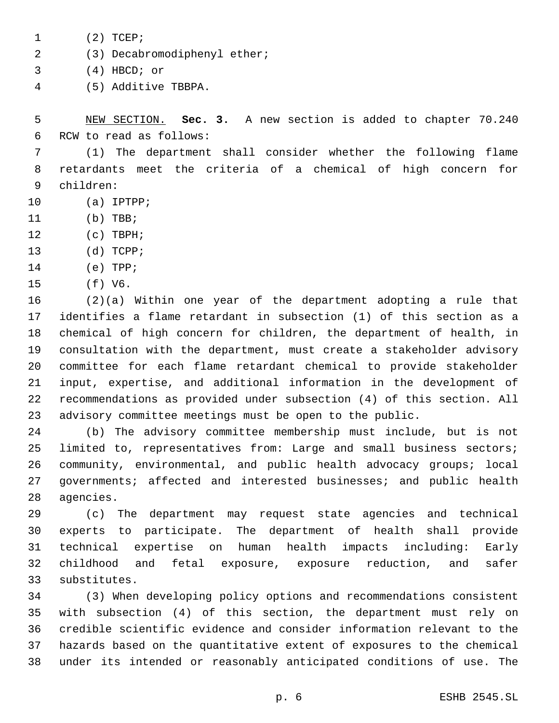1 (2) TCEP;

- (3) Decabromodiphenyl ether;2
- $(4)$  HBCD; or
- (5) Additive TBBPA.4

5 NEW SECTION. **Sec. 3.** A new section is added to chapter 70.240 6 RCW to read as follows:

7 (1) The department shall consider whether the following flame 8 retardants meet the criteria of a chemical of high concern for children:9

- 10 (a) IPTPP;
- 11 (b) TBB;
- 12 (c) TBPH;
- 13 (d) TCPP;
- 14 (e) TPP;
- 15 (f) V6.

 (2)(a) Within one year of the department adopting a rule that identifies a flame retardant in subsection (1) of this section as a chemical of high concern for children, the department of health, in consultation with the department, must create a stakeholder advisory committee for each flame retardant chemical to provide stakeholder input, expertise, and additional information in the development of recommendations as provided under subsection (4) of this section. All advisory committee meetings must be open to the public.

24 (b) The advisory committee membership must include, but is not 25 limited to, representatives from: Large and small business sectors; 26 community, environmental, and public health advocacy groups; local 27 governments; affected and interested businesses; and public health 28 agencies.

 (c) The department may request state agencies and technical experts to participate. The department of health shall provide technical expertise on human health impacts including: Early childhood and fetal exposure, exposure reduction, and safer 33 substitutes.

 (3) When developing policy options and recommendations consistent with subsection (4) of this section, the department must rely on credible scientific evidence and consider information relevant to the hazards based on the quantitative extent of exposures to the chemical under its intended or reasonably anticipated conditions of use. The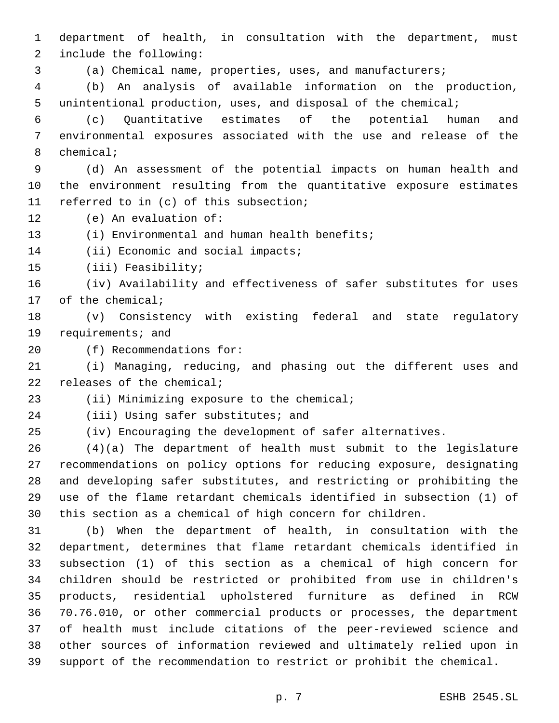department of health, in consultation with the department, must 2 include the following:

(a) Chemical name, properties, uses, and manufacturers;

 (b) An analysis of available information on the production, unintentional production, uses, and disposal of the chemical;

 (c) Quantitative estimates of the potential human and environmental exposures associated with the use and release of the 8 chemical;

 (d) An assessment of the potential impacts on human health and the environment resulting from the quantitative exposure estimates 11 referred to in (c) of this subsection;

12 (e) An evaluation of:

13 (i) Environmental and human health benefits;

14 (ii) Economic and social impacts;

15 (iii) Feasibility;

 (iv) Availability and effectiveness of safer substitutes for uses 17 of the chemical;

 (v) Consistency with existing federal and state regulatory 19 requirements; and

20 (f) Recommendations for:

 (i) Managing, reducing, and phasing out the different uses and 22 releases of the chemical;

23 (ii) Minimizing exposure to the chemical;

24 (iii) Using safer substitutes; and

(iv) Encouraging the development of safer alternatives.

 (4)(a) The department of health must submit to the legislature recommendations on policy options for reducing exposure, designating and developing safer substitutes, and restricting or prohibiting the use of the flame retardant chemicals identified in subsection (1) of this section as a chemical of high concern for children.

 (b) When the department of health, in consultation with the department, determines that flame retardant chemicals identified in subsection (1) of this section as a chemical of high concern for children should be restricted or prohibited from use in children's products, residential upholstered furniture as defined in RCW 70.76.010, or other commercial products or processes, the department of health must include citations of the peer-reviewed science and other sources of information reviewed and ultimately relied upon in support of the recommendation to restrict or prohibit the chemical.